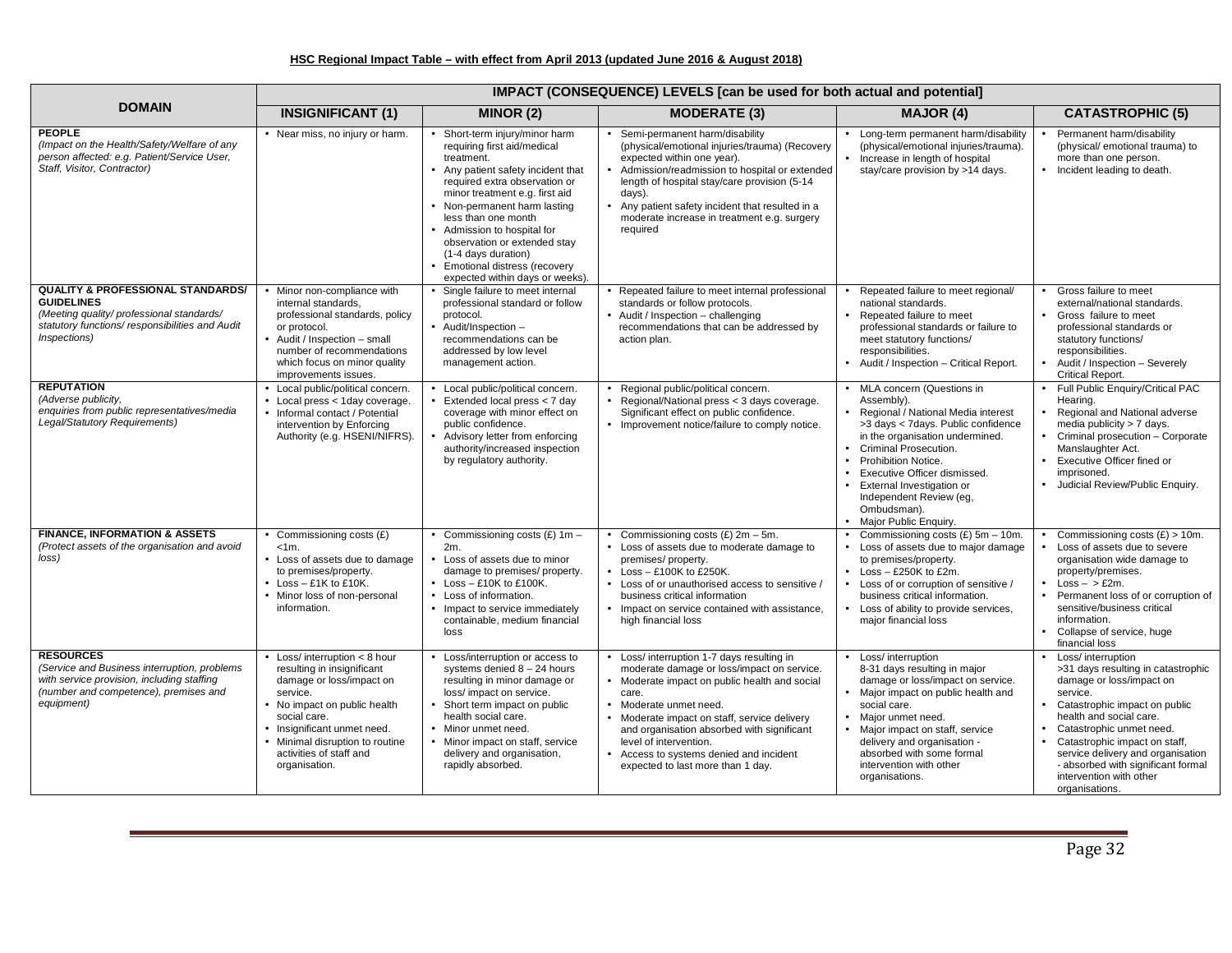## **HSC Regional Impact Table – with effect from April 2013 (updated June 2016 & August 2018)**

|                                                                                                                                                                                  | IMPACT (CONSEQUENCE) LEVELS [can be used for both actual and potential]                                                                                                                                                                                                  |                                                                                                                                                                                                                                                                                                                                                                                                        |                                                                                                                                                                                                                                                                                                                                                                                  |                                                                                                                                                                                                                                                                                                                                                                   |                                                                                                                                                                                                                                                                                                                                                         |  |
|----------------------------------------------------------------------------------------------------------------------------------------------------------------------------------|--------------------------------------------------------------------------------------------------------------------------------------------------------------------------------------------------------------------------------------------------------------------------|--------------------------------------------------------------------------------------------------------------------------------------------------------------------------------------------------------------------------------------------------------------------------------------------------------------------------------------------------------------------------------------------------------|----------------------------------------------------------------------------------------------------------------------------------------------------------------------------------------------------------------------------------------------------------------------------------------------------------------------------------------------------------------------------------|-------------------------------------------------------------------------------------------------------------------------------------------------------------------------------------------------------------------------------------------------------------------------------------------------------------------------------------------------------------------|---------------------------------------------------------------------------------------------------------------------------------------------------------------------------------------------------------------------------------------------------------------------------------------------------------------------------------------------------------|--|
| <b>DOMAIN</b>                                                                                                                                                                    | <b>INSIGNIFICANT (1)</b>                                                                                                                                                                                                                                                 | MINOR (2)                                                                                                                                                                                                                                                                                                                                                                                              | <b>MODERATE (3)</b>                                                                                                                                                                                                                                                                                                                                                              | <b>MAJOR (4)</b>                                                                                                                                                                                                                                                                                                                                                  | <b>CATASTROPHIC (5)</b>                                                                                                                                                                                                                                                                                                                                 |  |
| <b>PEOPLE</b><br>(Impact on the Health/Safety/Welfare of any<br>person affected: e.g. Patient/Service User,<br>Staff, Visitor, Contractor)                                       | • Near miss, no injury or harm.                                                                                                                                                                                                                                          | • Short-term injury/minor harm<br>requiring first aid/medical<br>treatment.<br>• Any patient safety incident that<br>required extra observation or<br>minor treatment e.g. first aid<br>• Non-permanent harm lasting<br>less than one month<br>• Admission to hospital for<br>observation or extended stay<br>(1-4 days duration)<br>• Emotional distress (recovery<br>expected within days or weeks). | • Semi-permanent harm/disability<br>(physical/emotional injuries/trauma) (Recovery<br>expected within one year).<br>Admission/readmission to hospital or extended<br>length of hospital stay/care provision (5-14)<br>days).<br>• Any patient safety incident that resulted in a<br>moderate increase in treatment e.g. surgery<br>required                                      | • Long-term permanent harm/disability<br>(physical/emotional injuries/trauma).<br>Increase in length of hospital<br>stay/care provision by >14 days.                                                                                                                                                                                                              | Permanent harm/disability<br>$\bullet$<br>(physical/emotional trauma) to<br>more than one person.<br>• Incident leading to death.                                                                                                                                                                                                                       |  |
| <b>QUALITY &amp; PROFESSIONAL STANDARDS/</b><br><b>GUIDELINES</b><br>(Meeting quality/ professional standards/<br>statutory functions/responsibilities and Audit<br>Inspections) | • Minor non-compliance with<br>internal standards,<br>professional standards, policy<br>or protocol.<br>• Audit / Inspection - small<br>number of recommendations<br>which focus on minor quality<br>improvements issues.                                                | Single failure to meet internal<br>professional standard or follow<br>protocol.<br>• Audit/Inspection -<br>recommendations can be<br>addressed by low level<br>management action.                                                                                                                                                                                                                      | Repeated failure to meet internal professional<br>standards or follow protocols.<br>• Audit / Inspection - challenging<br>recommendations that can be addressed by<br>action plan.                                                                                                                                                                                               | Repeated failure to meet regional/<br>national standards.<br>Repeated failure to meet<br>$\bullet$<br>professional standards or failure to<br>meet statutory functions/<br>responsibilities.<br>• Audit / Inspection - Critical Report.                                                                                                                           | Gross failure to meet<br>external/national standards.<br>• Gross failure to meet<br>professional standards or<br>statutory functions/<br>responsibilities.<br>Audit / Inspection - Severely<br>Critical Report.                                                                                                                                         |  |
| <b>REPUTATION</b><br>(Adverse publicity,<br>enquiries from public representatives/media<br>Legal/Statutory Requirements)                                                         | • Local public/political concern.<br>• Local press < 1day coverage.<br>• Informal contact / Potential<br>intervention by Enforcing<br>Authority (e.g. HSENI/NIFRS).                                                                                                      | • Local public/political concern.<br>$\bullet$ Extended local press < 7 day<br>coverage with minor effect on<br>public confidence.<br>• Advisory letter from enforcing<br>authority/increased inspection<br>by regulatory authority.                                                                                                                                                                   | Regional public/political concern.<br>Regional/National press < 3 days coverage.<br>Significant effect on public confidence.<br>Improvement notice/failure to comply notice.                                                                                                                                                                                                     | MLA concern (Questions in<br>Assembly).<br>Regional / National Media interest<br>>3 days < 7 days. Public confidence<br>in the organisation undermined.<br>Criminal Prosecution.<br>$\bullet$<br>Prohibition Notice.<br>$\bullet$<br>Executive Officer dismissed.<br>External Investigation or<br>Independent Review (eg,<br>Ombudsman).<br>Major Public Enquiry. | • Full Public Enquiry/Critical PAC<br>Hearing.<br>• Regional and National adverse<br>media publicity > 7 days.<br>• Criminal prosecution - Corporate<br>Manslaughter Act.<br>• Executive Officer fined or<br>imprisoned.<br>· Judicial Review/Public Enquiry.                                                                                           |  |
| <b>FINANCE. INFORMATION &amp; ASSETS</b><br>(Protect assets of the organisation and avoid<br>loss)                                                                               | • Commissioning costs $(E)$<br>$< 1m$ .<br>• Loss of assets due to damage<br>to premises/property.<br>$\bullet$ Loss - £1K to £10K.<br>• Minor loss of non-personal<br>information.                                                                                      | • Commissioning costs $(E)$ 1m -<br>2m.<br>• Loss of assets due to minor<br>damage to premises/ property.<br>$\bullet$ Loss - £10K to £100K.<br>• Loss of information.<br>• Impact to service immediately<br>containable, medium financial<br>loss                                                                                                                                                     | • Commissioning costs $(E)$ 2m - 5m.<br>• Loss of assets due to moderate damage to<br>premises/property.<br>$\bullet$ Loss - £100K to £250K.<br>• Loss of or unauthorised access to sensitive /<br>business critical information<br>• Impact on service contained with assistance,<br>high financial loss                                                                        | Commissioning costs $(E)$ 5m - 10m.<br>Loss of assets due to major damage<br>to premises/property.<br>Loss $-$ £250K to £2m.<br>$\bullet$<br>Loss of or corruption of sensitive /<br>$\bullet$<br>business critical information.<br>Loss of ability to provide services,<br>major financial loss                                                                  | • Commissioning costs $(E) > 10$ m.<br>• Loss of assets due to severe<br>organisation wide damage to<br>property/premises.<br>$\bullet$ Loss $-$ > £2m.<br>Permanent loss of or corruption of<br>$\bullet$<br>sensitive/business critical<br>information.<br>• Collapse of service, huge<br>financial loss                                              |  |
| <b>RESOURCES</b><br>(Service and Business interruption, problems<br>with service provision, including staffing<br>(number and competence), premises and<br>equipment)            | $\bullet$ Loss/interruption < 8 hour<br>resulting in insignificant<br>damage or loss/impact on<br>service.<br>• No impact on public health<br>social care.<br>• Insignificant unmet need.<br>• Minimal disruption to routine<br>activities of staff and<br>organisation. | • Loss/interruption or access to<br>systems denied $8 - 24$ hours<br>resulting in minor damage or<br>loss/ impact on service.<br>• Short term impact on public<br>health social care.<br>• Minor unmet need.<br>• Minor impact on staff, service<br>delivery and organisation,<br>rapidly absorbed.                                                                                                    | • Loss/ interruption 1-7 days resulting in<br>moderate damage or loss/impact on service.<br>Moderate impact on public health and social<br>care.<br>• Moderate unmet need.<br>Moderate impact on staff, service delivery<br>and organisation absorbed with significant<br>level of intervention.<br>• Access to systems denied and incident<br>expected to last more than 1 day. | Loss/ interruption<br>8-31 days resulting in major<br>damage or loss/impact on service.<br>Major impact on public health and<br>social care.<br>Major unmet need.<br>$\bullet$<br>Major impact on staff, service<br>delivery and organisation -<br>absorbed with some formal<br>intervention with other<br>organisations.                                         | • Loss/ interruption<br>>31 days resulting in catastrophic<br>damage or loss/impact on<br>service.<br>• Catastrophic impact on public<br>health and social care.<br>Catastrophic unmet need.<br>• Catastrophic impact on staff,<br>service delivery and organisation<br>- absorbed with significant formal<br>intervention with other<br>organisations. |  |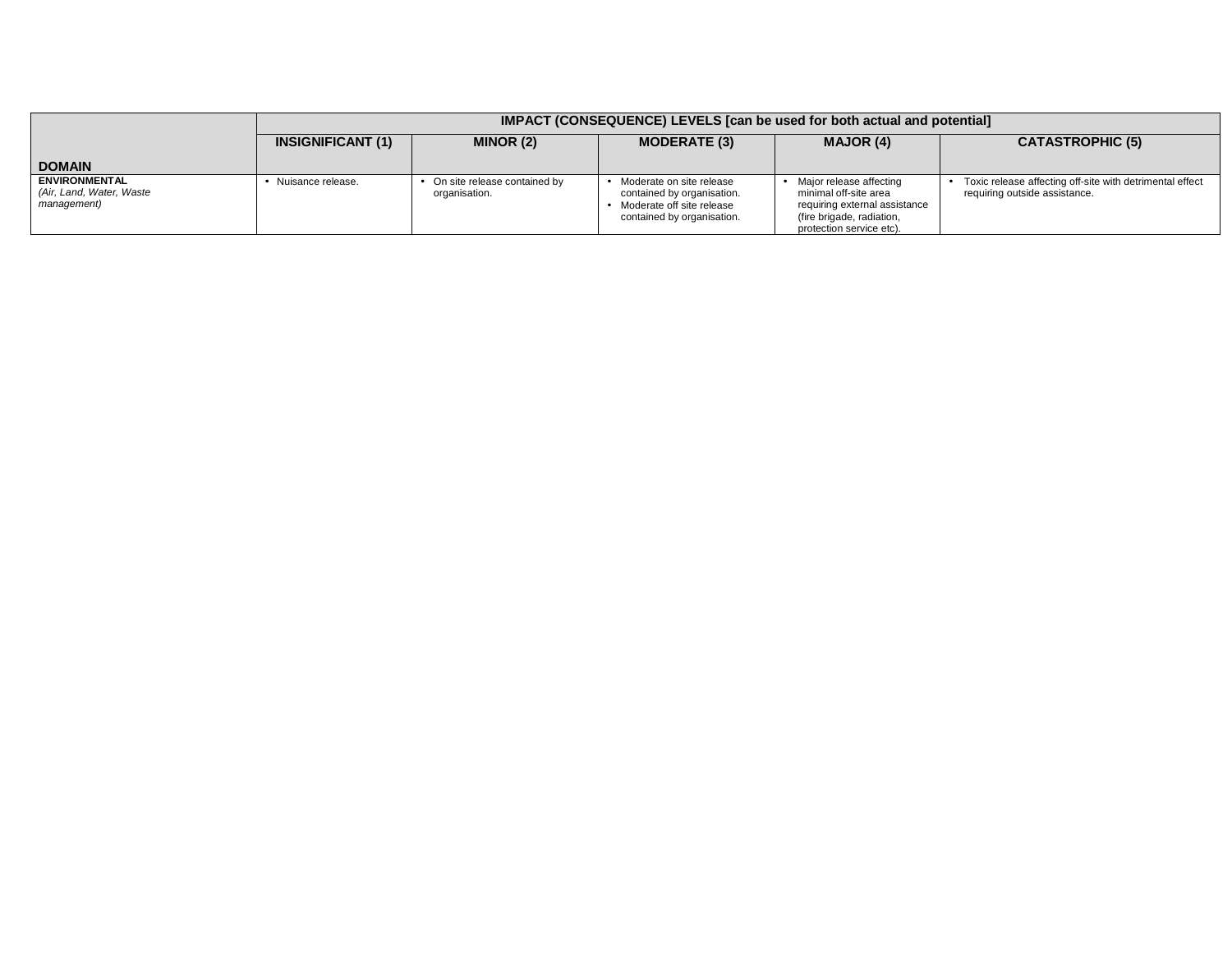|                                                                 | <b>IMPACT (CONSEQUENCE) LEVELS [can be used for both actual and potential]</b> |                                               |                                                                                                                     |                                                                                                                                            |                                                                                           |  |
|-----------------------------------------------------------------|--------------------------------------------------------------------------------|-----------------------------------------------|---------------------------------------------------------------------------------------------------------------------|--------------------------------------------------------------------------------------------------------------------------------------------|-------------------------------------------------------------------------------------------|--|
|                                                                 | <b>INSIGNIFICANT (1)</b>                                                       | MINOR (2)                                     | <b>MODERATE (3)</b>                                                                                                 | <b>MAJOR (4)</b>                                                                                                                           | <b>CATASTROPHIC (5)</b>                                                                   |  |
| <b>DOMAIN</b>                                                   |                                                                                |                                               |                                                                                                                     |                                                                                                                                            |                                                                                           |  |
| <b>ENVIRONMENTAL</b><br>(Air, Land, Water, Waste<br>management) | Nuisance release.                                                              | On site release contained by<br>organisation. | • Moderate on site release<br>contained by organisation.<br>Moderate off site release<br>contained by organisation. | Major release affecting<br>minimal off-site area<br>requiring external assistance<br>(fire brigade, radiation,<br>protection service etc). | Toxic release affecting off-site with detrimental effect<br>requiring outside assistance. |  |